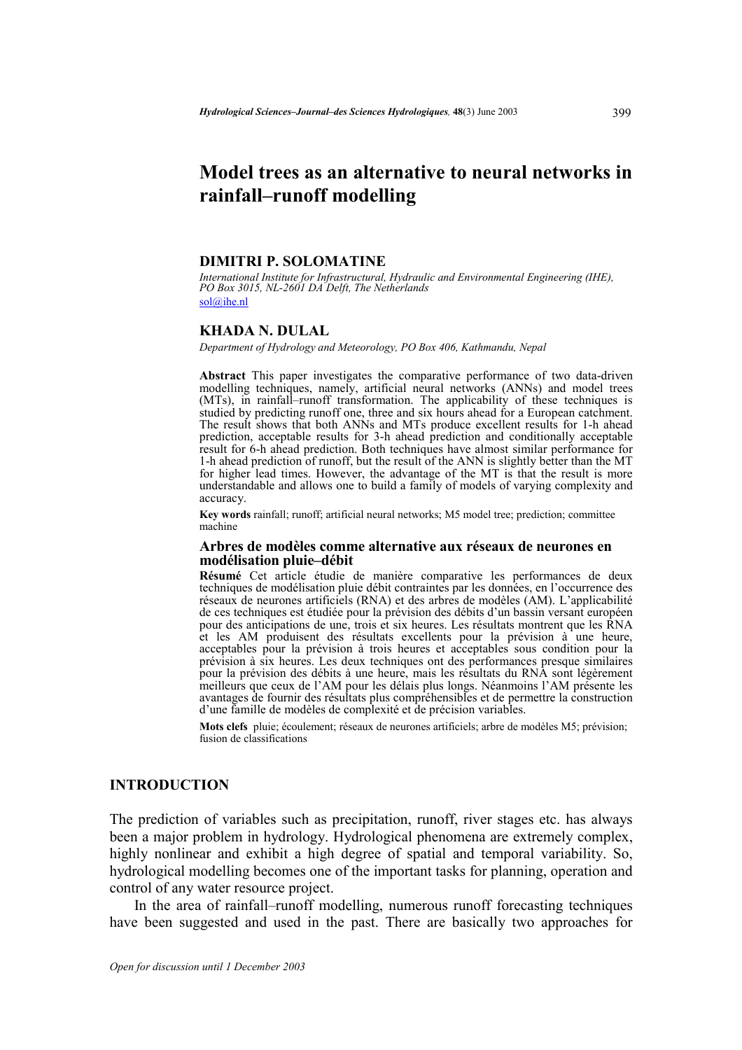# **Model trees as an alternative to neural networks in rainfall–runoff modelling**

#### **DIMITRI P. SOLOMATINE**

*International Institute for Infrastructural, Hydraulic and Environmental Engineering (IHE), PO Box 3015, NL-2601 DA Delft, The Netherlands*  sol@ihe.nl

#### **KHADA N. DULAL**

*Department of Hydrology and Meteorology, PO Box 406, Kathmandu, Nepal*

**Abstract** This paper investigates the comparative performance of two data-driven modelling techniques, namely, artificial neural networks (ANNs) and model trees (MTs), in rainfall–runoff transformation. The applicability of these techniques is studied by predicting runoff one, three and six hours ahead for a European catchment. The result shows that both ANNs and MTs produce excellent results for 1-h ahead prediction, acceptable results for 3-h ahead prediction and conditionally acceptable result for 6-h ahead prediction. Both techniques have almost similar performance for 1-h ahead prediction of runoff, but the result of the ANN is slightly better than the MT for higher lead times. However, the advantage of the MT is that the result is more understandable and allows one to build a family of models of varying complexity and accuracy.

**Key words** rainfall; runoff; artificial neural networks; M5 model tree; prediction; committee machine

#### **Arbres de modèles comme alternative aux réseaux de neurones en modélisation pluie–débit**

**Résumé** Cet article étudie de manière comparative les performances de deux techniques de modélisation pluie débit contraintes par les données, en l'occurrence des réseaux de neurones artificiels (RNA) et des arbres de modèles (AM). L'applicabilité de ces techniques est étudiée pour la prévision des débits d'un bassin versant européen pour des anticipations de une, trois et six heures. Les résultats montrent que les RNA et les AM produisent des résultats excellents pour la prévision à une heure, acceptables pour la prévision à trois heures et acceptables sous condition pour la prévision à six heures. Les deux techniques ont des performances presque similaires pour la prévision des débits à une heure, mais les résultats du RNA sont légèrement meilleurs que ceux de l'AM pour les délais plus longs. Néanmoins l'AM présente les avantages de fournir des résultats plus compréhensibles et de permettre la construction d'une famille de modèles de complexité et de précision variables.

**Mots clefs** pluie; écoulement; réseaux de neurones artificiels; arbre de modèles M5; prévision; fusion de classifications

### **INTRODUCTION**

The prediction of variables such as precipitation, runoff, river stages etc. has always been a major problem in hydrology. Hydrological phenomena are extremely complex, highly nonlinear and exhibit a high degree of spatial and temporal variability. So, hydrological modelling becomes one of the important tasks for planning, operation and control of any water resource project.

 In the area of rainfall–runoff modelling, numerous runoff forecasting techniques have been suggested and used in the past. There are basically two approaches for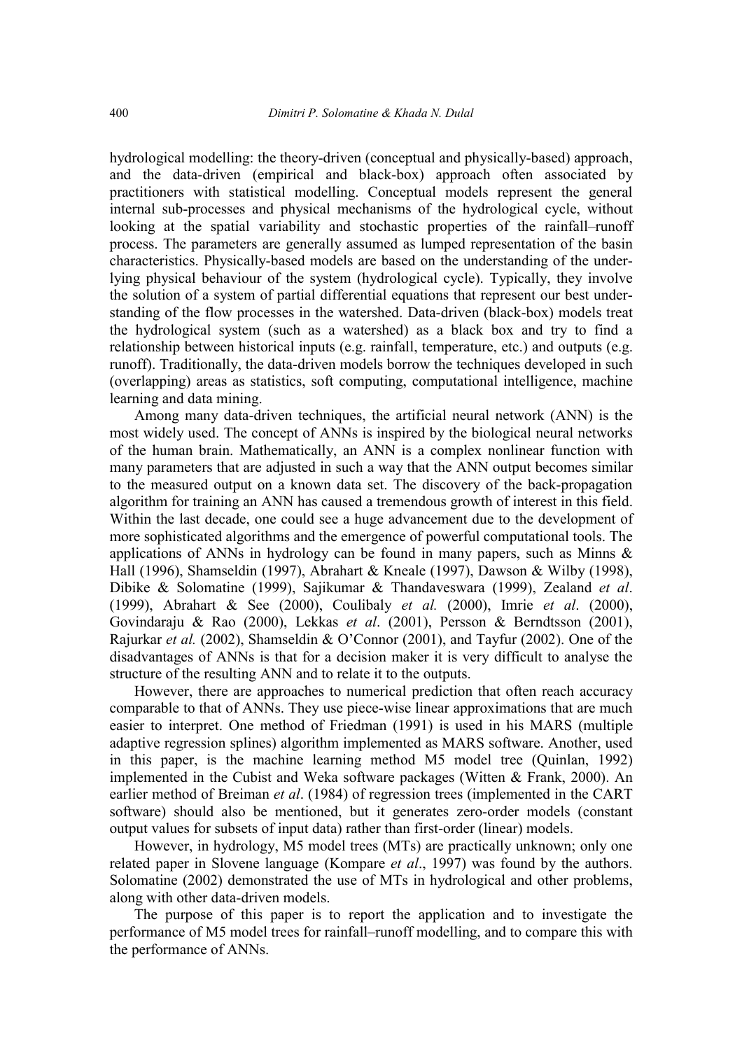hydrological modelling: the theory-driven (conceptual and physically-based) approach, and the data-driven (empirical and black-box) approach often associated by practitioners with statistical modelling. Conceptual models represent the general internal sub-processes and physical mechanisms of the hydrological cycle, without looking at the spatial variability and stochastic properties of the rainfall–runoff process. The parameters are generally assumed as lumped representation of the basin characteristics. Physically-based models are based on the understanding of the underlying physical behaviour of the system (hydrological cycle). Typically, they involve the solution of a system of partial differential equations that represent our best understanding of the flow processes in the watershed. Data-driven (black-box) models treat the hydrological system (such as a watershed) as a black box and try to find a relationship between historical inputs (e.g. rainfall, temperature, etc.) and outputs (e.g. runoff). Traditionally, the data-driven models borrow the techniques developed in such (overlapping) areas as statistics, soft computing, computational intelligence, machine learning and data mining.

 Among many data-driven techniques, the artificial neural network (ANN) is the most widely used. The concept of ANNs is inspired by the biological neural networks of the human brain. Mathematically, an ANN is a complex nonlinear function with many parameters that are adjusted in such a way that the ANN output becomes similar to the measured output on a known data set. The discovery of the back-propagation algorithm for training an ANN has caused a tremendous growth of interest in this field. Within the last decade, one could see a huge advancement due to the development of more sophisticated algorithms and the emergence of powerful computational tools. The applications of ANNs in hydrology can be found in many papers, such as Minns & Hall (1996), Shamseldin (1997), Abrahart & Kneale (1997), Dawson & Wilby (1998), Dibike & Solomatine (1999), Sajikumar & Thandaveswara (1999), Zealand *et al*. (1999), Abrahart & See (2000), Coulibaly *et al.* (2000), Imrie *et al*. (2000), Govindaraju & Rao (2000), Lekkas *et al*. (2001), Persson & Berndtsson (2001), Rajurkar *et al.* (2002), Shamseldin & O'Connor (2001), and Tayfur (2002). One of the disadvantages of ANNs is that for a decision maker it is very difficult to analyse the structure of the resulting ANN and to relate it to the outputs.

 However, there are approaches to numerical prediction that often reach accuracy comparable to that of ANNs. They use piece-wise linear approximations that are much easier to interpret. One method of Friedman (1991) is used in his MARS (multiple adaptive regression splines) algorithm implemented as MARS software. Another, used in this paper, is the machine learning method M5 model tree (Quinlan, 1992) implemented in the Cubist and Weka software packages (Witten & Frank, 2000). An earlier method of Breiman *et al*. (1984) of regression trees (implemented in the CART software) should also be mentioned, but it generates zero-order models (constant output values for subsets of input data) rather than first-order (linear) models.

 However, in hydrology, M5 model trees (MTs) are practically unknown; only one related paper in Slovene language (Kompare *et al*., 1997) was found by the authors. Solomatine (2002) demonstrated the use of MTs in hydrological and other problems, along with other data-driven models.

 The purpose of this paper is to report the application and to investigate the performance of M5 model trees for rainfall–runoff modelling, and to compare this with the performance of ANNs.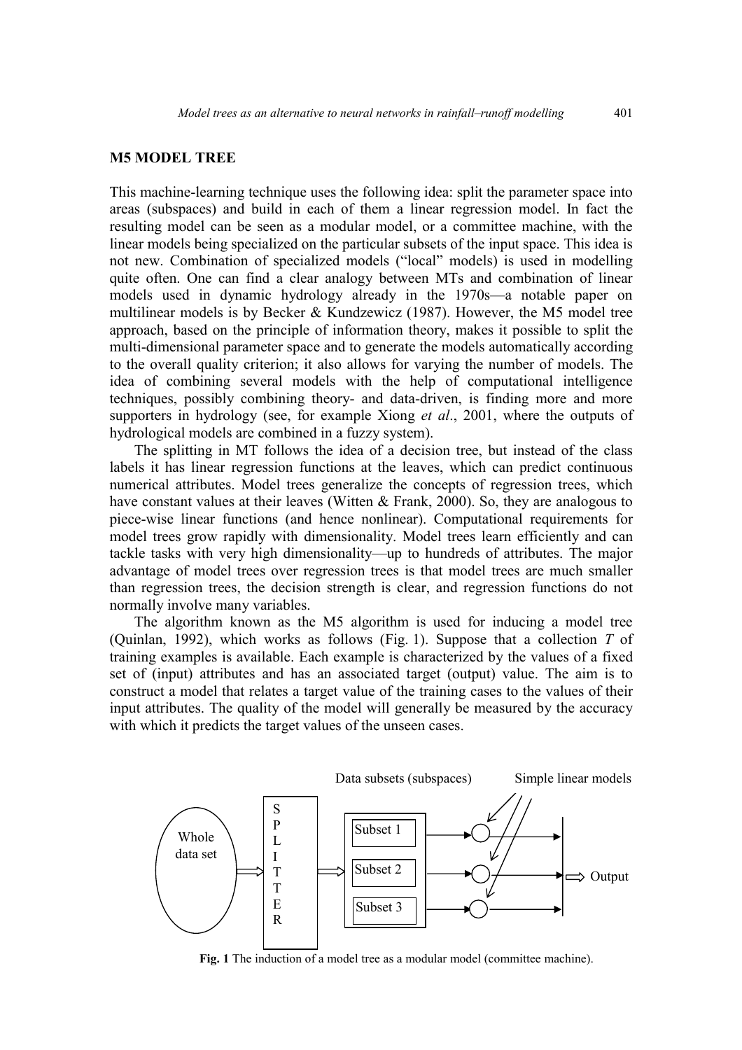#### **M5 MODEL TREE**

This machine-learning technique uses the following idea: split the parameter space into areas (subspaces) and build in each of them a linear regression model. In fact the resulting model can be seen as a modular model, or a committee machine, with the linear models being specialized on the particular subsets of the input space. This idea is not new. Combination of specialized models ("local" models) is used in modelling quite often. One can find a clear analogy between MTs and combination of linear models used in dynamic hydrology already in the 1970s—a notable paper on multilinear models is by Becker & Kundzewicz (1987). However, the M5 model tree approach, based on the principle of information theory, makes it possible to split the multi-dimensional parameter space and to generate the models automatically according to the overall quality criterion; it also allows for varying the number of models. The idea of combining several models with the help of computational intelligence techniques, possibly combining theory- and data-driven, is finding more and more supporters in hydrology (see, for example Xiong *et al*., 2001, where the outputs of hydrological models are combined in a fuzzy system).

 The splitting in MT follows the idea of a decision tree, but instead of the class labels it has linear regression functions at the leaves, which can predict continuous numerical attributes. Model trees generalize the concepts of regression trees, which have constant values at their leaves (Witten & Frank, 2000). So, they are analogous to piece-wise linear functions (and hence nonlinear). Computational requirements for model trees grow rapidly with dimensionality. Model trees learn efficiently and can tackle tasks with very high dimensionality—up to hundreds of attributes. The major advantage of model trees over regression trees is that model trees are much smaller than regression trees, the decision strength is clear, and regression functions do not normally involve many variables.

 The algorithm known as the M5 algorithm is used for inducing a model tree (Quinlan, 1992), which works as follows (Fig. 1). Suppose that a collection *T* of training examples is available. Each example is characterized by the values of a fixed set of (input) attributes and has an associated target (output) value. The aim is to construct a model that relates a target value of the training cases to the values of their input attributes. The quality of the model will generally be measured by the accuracy with which it predicts the target values of the unseen cases.



Fig. 1 The induction of a model tree as a modular model (committee machine).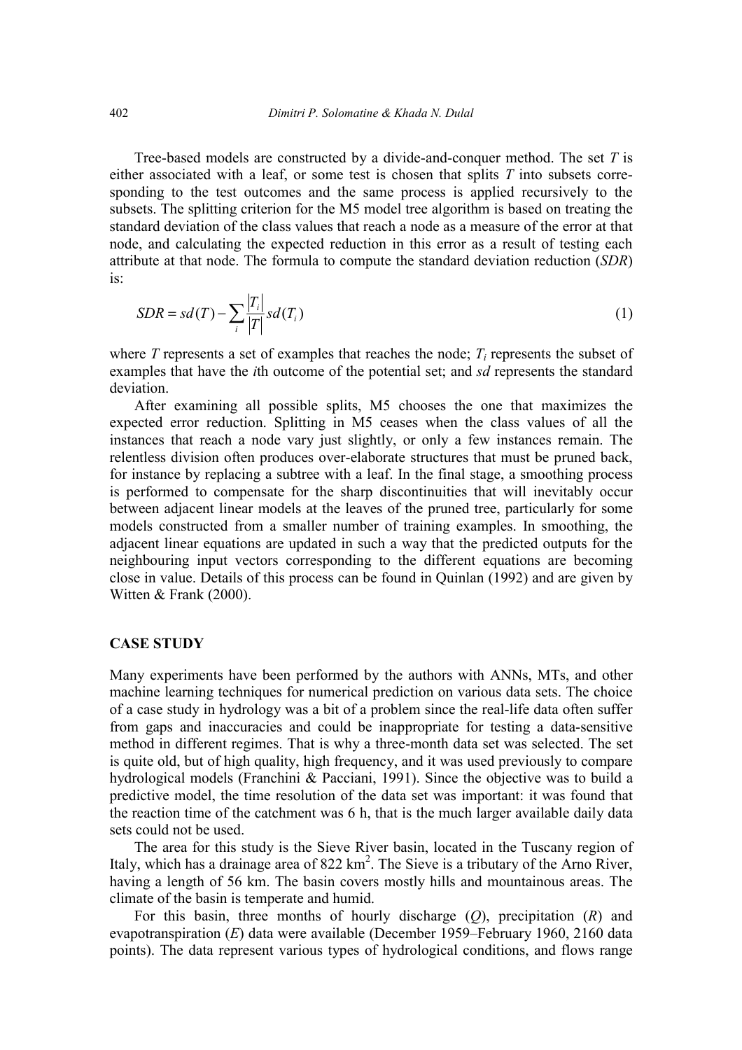Tree-based models are constructed by a divide-and-conquer method. The set *T* is either associated with a leaf, or some test is chosen that splits *T* into subsets corresponding to the test outcomes and the same process is applied recursively to the subsets. The splitting criterion for the M5 model tree algorithm is based on treating the standard deviation of the class values that reach a node as a measure of the error at that node, and calculating the expected reduction in this error as a result of testing each attribute at that node. The formula to compute the standard deviation reduction (*SDR*) is:

$$
SDR = sd(T) - \sum_{i} \frac{|T_i|}{|T|} sd(T_i)
$$
\n(1)

where *T* represents a set of examples that reaches the node; *T<sub>i</sub>* represents the subset of examples that have the *i*th outcome of the potential set; and *sd* represents the standard deviation.

 After examining all possible splits, M5 chooses the one that maximizes the expected error reduction. Splitting in M5 ceases when the class values of all the instances that reach a node vary just slightly, or only a few instances remain. The relentless division often produces over-elaborate structures that must be pruned back, for instance by replacing a subtree with a leaf. In the final stage, a smoothing process is performed to compensate for the sharp discontinuities that will inevitably occur between adjacent linear models at the leaves of the pruned tree, particularly for some models constructed from a smaller number of training examples. In smoothing, the adjacent linear equations are updated in such a way that the predicted outputs for the neighbouring input vectors corresponding to the different equations are becoming close in value. Details of this process can be found in Quinlan (1992) and are given by Witten & Frank (2000).

### **CASE STUDY**

Many experiments have been performed by the authors with ANNs, MTs, and other machine learning techniques for numerical prediction on various data sets. The choice of a case study in hydrology was a bit of a problem since the real-life data often suffer from gaps and inaccuracies and could be inappropriate for testing a data-sensitive method in different regimes. That is why a three-month data set was selected. The set is quite old, but of high quality, high frequency, and it was used previously to compare hydrological models (Franchini & Pacciani, 1991). Since the objective was to build a predictive model, the time resolution of the data set was important: it was found that the reaction time of the catchment was 6 h, that is the much larger available daily data sets could not be used.

 The area for this study is the Sieve River basin, located in the Tuscany region of Italy, which has a drainage area of 822 km<sup>2</sup>. The Sieve is a tributary of the Arno River, having a length of 56 km. The basin covers mostly hills and mountainous areas. The climate of the basin is temperate and humid.

 For this basin, three months of hourly discharge (*Q*), precipitation (*R*) and evapotranspiration (*E*) data were available (December 1959–February 1960, 2160 data points). The data represent various types of hydrological conditions, and flows range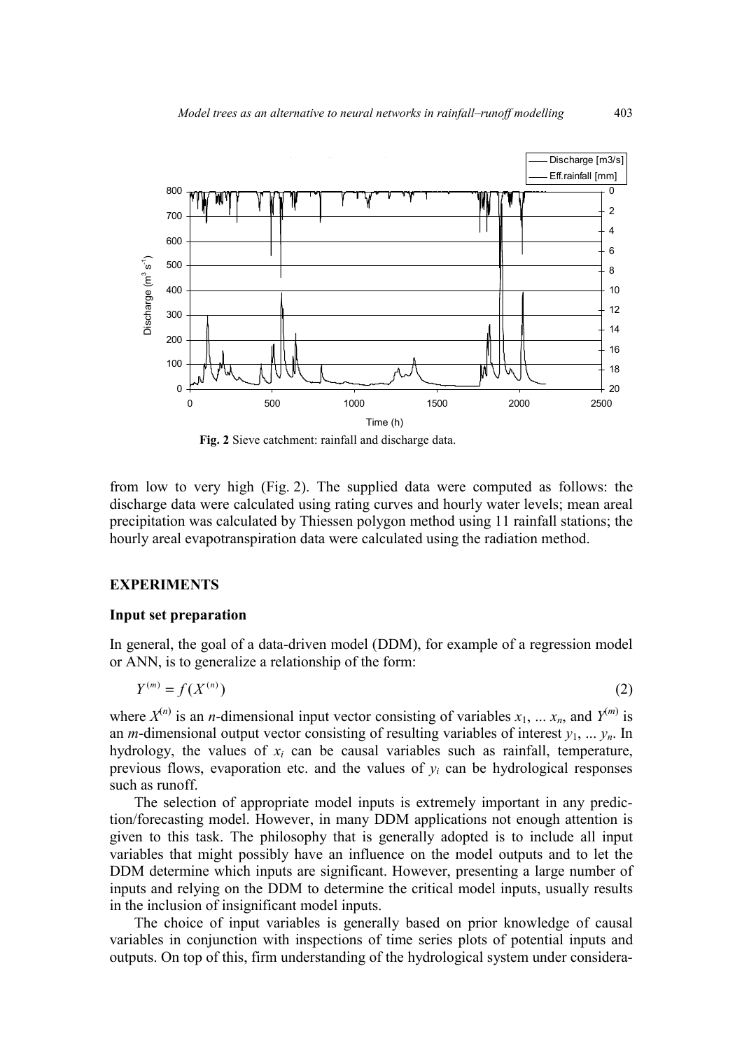

**Fig. 2** Sieve catchment: rainfall and discharge data.

from low to very high (Fig. 2). The supplied data were computed as follows: the discharge data were calculated using rating curves and hourly water levels; mean areal precipitation was calculated by Thiessen polygon method using 11 rainfall stations; the hourly areal evapotranspiration data were calculated using the radiation method.

## **EXPERIMENTS**

#### **Input set preparation**

In general, the goal of a data-driven model (DDM), for example of a regression model or ANN, is to generalize a relationship of the form:

$$
Y^{(m)} = f(X^{(n)})\tag{2}
$$

where  $X^{(n)}$  is an *n*-dimensional input vector consisting of variables  $x_1, \ldots, x_n$ , and  $Y^{(m)}$  is an *m*-dimensional output vector consisting of resulting variables of interest  $y_1, \ldots, y_n$ . In hydrology, the values of  $x_i$  can be causal variables such as rainfall, temperature, previous flows, evaporation etc. and the values of  $y_i$  can be hydrological responses such as runoff.

 The selection of appropriate model inputs is extremely important in any prediction/forecasting model. However, in many DDM applications not enough attention is given to this task. The philosophy that is generally adopted is to include all input variables that might possibly have an influence on the model outputs and to let the DDM determine which inputs are significant. However, presenting a large number of inputs and relying on the DDM to determine the critical model inputs, usually results in the inclusion of insignificant model inputs.

 The choice of input variables is generally based on prior knowledge of causal variables in conjunction with inspections of time series plots of potential inputs and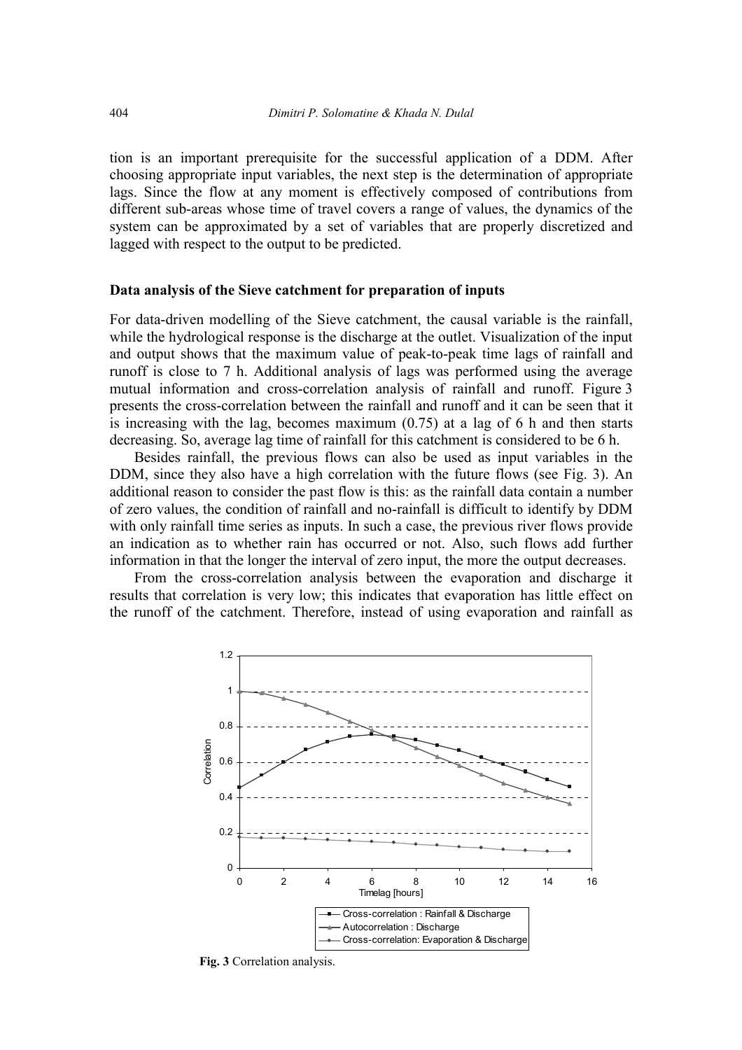tion is an important prerequisite for the successful application of a DDM. After choosing appropriate input variables, the next step is the determination of appropriate lags. Since the flow at any moment is effectively composed of contributions from different sub-areas whose time of travel covers a range of values, the dynamics of the system can be approximated by a set of variables that are properly discretized and lagged with respect to the output to be predicted.

#### **Data analysis of the Sieve catchment for preparation of inputs**

For data-driven modelling of the Sieve catchment, the causal variable is the rainfall, while the hydrological response is the discharge at the outlet. Visualization of the input and output shows that the maximum value of peak-to-peak time lags of rainfall and runoff is close to 7 h. Additional analysis of lags was performed using the average mutual information and cross-correlation analysis of rainfall and runoff. Figure 3 presents the cross-correlation between the rainfall and runoff and it can be seen that it is increasing with the lag, becomes maximum (0.75) at a lag of 6 h and then starts decreasing. So, average lag time of rainfall for this catchment is considered to be 6 h.

 Besides rainfall, the previous flows can also be used as input variables in the DDM, since they also have a high correlation with the future flows (see Fig. 3). An additional reason to consider the past flow is this: as the rainfall data contain a number of zero values, the condition of rainfall and no-rainfall is difficult to identify by DDM with only rainfall time series as inputs. In such a case, the previous river flows provide an indication as to whether rain has occurred or not. Also, such flows add further information in that the longer the interval of zero input, the more the output decreases.

 From the cross-correlation analysis between the evaporation and discharge it results that correlation is very low; this indicates that evaporation has little effect on the runoff of the catchment. Therefore, instead of using evaporation and rainfall as



**Fig. 3** Correlation analysis.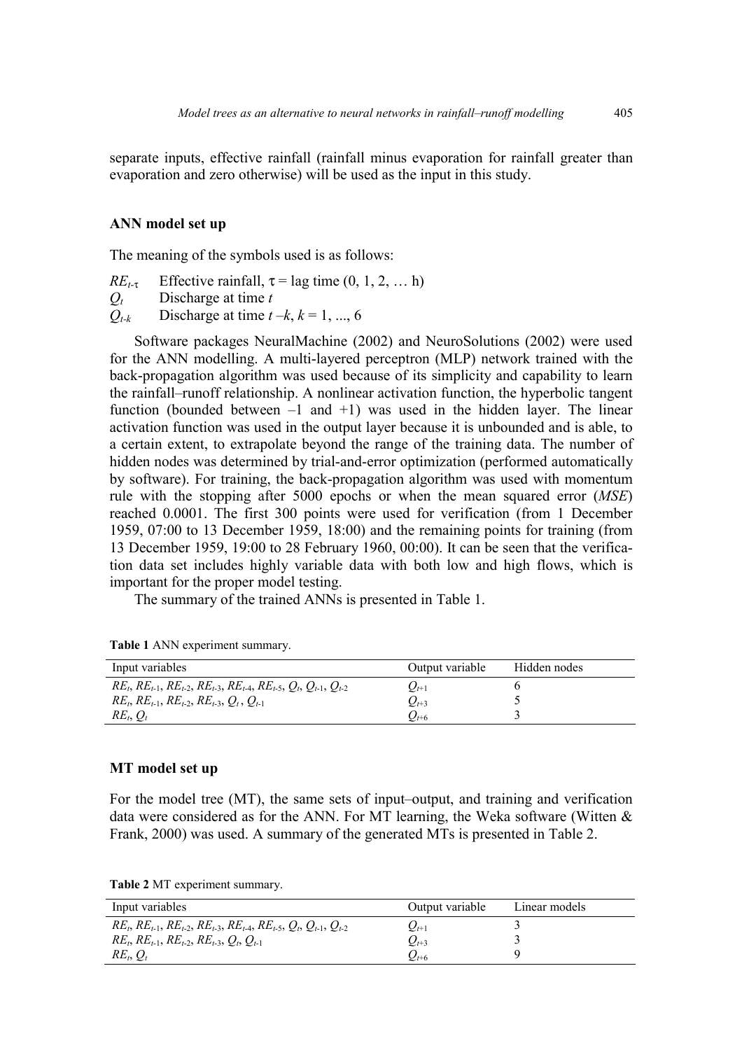separate inputs, effective rainfall (rainfall minus evaporation for rainfall greater than evaporation and zero otherwise) will be used as the input in this study.

### **ANN model set up**

The meaning of the symbols used is as follows:

- *RE<sub>t-τ</sub>* Effective rainfall,  $\tau$  = lag time (0, 1, 2, ... h)
- *Qt* Discharge at time *t*
- $Q_{t-k}$  Discharge at time  $t-k, k = 1, ..., 6$

 Software packages NeuralMachine (2002) and NeuroSolutions (2002) were used for the ANN modelling. A multi-layered perceptron (MLP) network trained with the back-propagation algorithm was used because of its simplicity and capability to learn the rainfall–runoff relationship. A nonlinear activation function, the hyperbolic tangent function (bounded between  $-1$  and  $+1$ ) was used in the hidden layer. The linear activation function was used in the output layer because it is unbounded and is able, to a certain extent, to extrapolate beyond the range of the training data. The number of hidden nodes was determined by trial-and-error optimization (performed automatically by software). For training, the back-propagation algorithm was used with momentum rule with the stopping after 5000 epochs or when the mean squared error (*MSE*) reached 0.0001. The first 300 points were used for verification (from 1 December 1959, 07:00 to 13 December 1959, 18:00) and the remaining points for training (from 13 December 1959, 19:00 to 28 February 1960, 00:00). It can be seen that the verification data set includes highly variable data with both low and high flows, which is important for the proper model testing.

The summary of the trained ANNs is presented in Table 1.

| Input variables                                                                                             | Output variable     | Hidden nodes |
|-------------------------------------------------------------------------------------------------------------|---------------------|--------------|
| $RE_{t_1}$ , $RE_{t-1}$ , $RE_{t-2}$ , $RE_{t-3}$ , $RE_{t-4}$ , $RE_{t-5}$ , $Q_t$ , $Q_{t-1}$ , $Q_{t-2}$ | $\mathcal{Q}_{t+1}$ |              |
| $RE_{t_1}$ , $RE_{t-1}$ , $RE_{t-2}$ , $RE_{t-3}$ , $Q_t$ , $Q_{t-1}$                                       | $Q_{t+3}$           |              |
| $RE_t$ , $O_t$                                                                                              | $Q_{t\pm 6}$        |              |

**Table 1** ANN experiment summary.

#### **MT model set up**

For the model tree (MT), the same sets of input–output, and training and verification data were considered as for the ANN. For MT learning, the Weka software (Witten  $\&$ Frank, 2000) was used. A summary of the generated MTs is presented in Table 2.

**Table 2** MT experiment summary.

| Input variables                                                                                             | Output variable     | Linear models |
|-------------------------------------------------------------------------------------------------------------|---------------------|---------------|
| $RE_{t_1}$ , $RE_{t-1}$ , $RE_{t-2}$ , $RE_{t-3}$ , $RE_{t-4}$ , $RE_{t-5}$ , $Q_t$ , $Q_{t-1}$ , $Q_{t-2}$ | $\mathcal{Q}_{t+1}$ |               |
| $RE_t, RE_{t-1}, RE_{t-2}, RE_{t-3}, Q_t, Q_{t-1}$                                                          | $Q_{t+3}$           |               |
| $RE_t$ , $O_t$                                                                                              | $Q_{t+6}$           |               |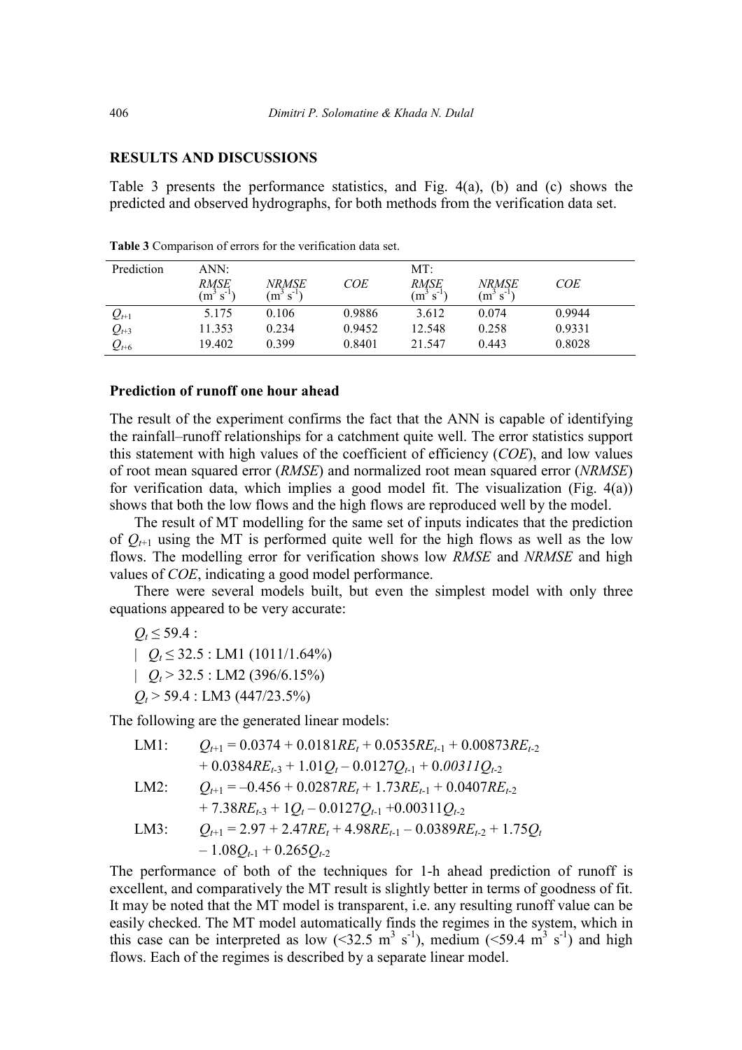#### **RESULTS AND DISCUSSIONS**

Table 3 presents the performance statistics, and Fig. 4(a), (b) and (c) shows the predicted and observed hydrographs, for both methods from the verification data set.

| Prediction          | ANN:<br><i>RMSE</i><br>$\mathrm{m}^3$ s <sup>-1</sup> | <i>NRMSE</i><br>$-1$<br>m <sup>2</sup><br>S | COE    | MT:<br><b>RMSE</b><br>$S^{-1}$<br>$m^3$ | <i>NRMSE</i><br>$S^{-1}$<br>m <sup>2</sup> | <i>COE</i> |
|---------------------|-------------------------------------------------------|---------------------------------------------|--------|-----------------------------------------|--------------------------------------------|------------|
|                     | 5.175                                                 | 0.106                                       | 0.9886 | 3.612                                   | 0.074                                      | 0.9944     |
| $\mathcal{Q}_{t+1}$ | 11.353                                                | 0.234                                       | 0.9452 | 12.548                                  | 0.258                                      | 0.9331     |
| $Q_{t+6}$           | 19.402                                                | 0.399                                       | 0.8401 | 21.547                                  | 0.443                                      | 0.8028     |

**Table 3** Comparison of errors for the verification data set.

### **Prediction of runoff one hour ahead**

The result of the experiment confirms the fact that the ANN is capable of identifying the rainfall–runoff relationships for a catchment quite well. The error statistics support this statement with high values of the coefficient of efficiency (*COE*), and low values of root mean squared error (*RMSE*) and normalized root mean squared error (*NRMSE*) for verification data, which implies a good model fit. The visualization (Fig. 4(a)) shows that both the low flows and the high flows are reproduced well by the model.

 The result of MT modelling for the same set of inputs indicates that the prediction of  $Q_{t+1}$  using the MT is performed quite well for the high flows as well as the low flows. The modelling error for verification shows low *RMSE* and *NRMSE* and high values of *COE*, indicating a good model performance.

 There were several models built, but even the simplest model with only three equations appeared to be very accurate:

 $Q_t \le 59.4$ :  $|$   $Q_t \leq 32.5$  : LM1 (1011/1.64%)  $|$   $Q_t$  > 32.5 : LM2 (396/6.15%) *Qt* > 59.4 : LM3 (447/23.5%)

The following are the generated linear models:

| $LM1$ : | $Q_{t+1} = 0.0374 + 0.0181RE_t + 0.0535RE_{t-1} + 0.00873RE_{t-2}$    |
|---------|-----------------------------------------------------------------------|
|         | + $0.0384RE_{t-3}$ + $1.01Q_t$ – $0.0127Q_{t-1}$ + $0.00311Q_{t-2}$   |
| $LM2$ : | $Q_{t+1} = -0.456 + 0.0287RE_t + 1.73RE_{t-1} + 0.0407RE_{t-2}$       |
|         | $+7.38RE_{t-3} + 1Q_t - 0.0127Q_{t-1} + 0.00311Q_{t-2}$               |
| $LM3$ : | $Q_{t+1} = 2.97 + 2.47RE_t + 4.98RE_{t-1} - 0.0389RE_{t-2} + 1.75Q_t$ |
|         | $-1.08Q_{t-1} + 0.265Q_{t-2}$                                         |

The performance of both of the techniques for 1-h ahead prediction of runoff is excellent, and comparatively the MT result is slightly better in terms of goodness of fit. It may be noted that the MT model is transparent, i.e. any resulting runoff value can be easily checked. The MT model automatically finds the regimes in the system, which in this case can be interpreted as low  $(\leq 32.5 \text{ m}^3 \text{ s}^{-1})$ , medium  $(\leq 59.4 \text{ m}^3 \text{ s}^{-1})$  and high flows. Each of the regimes is described by a separate linear model.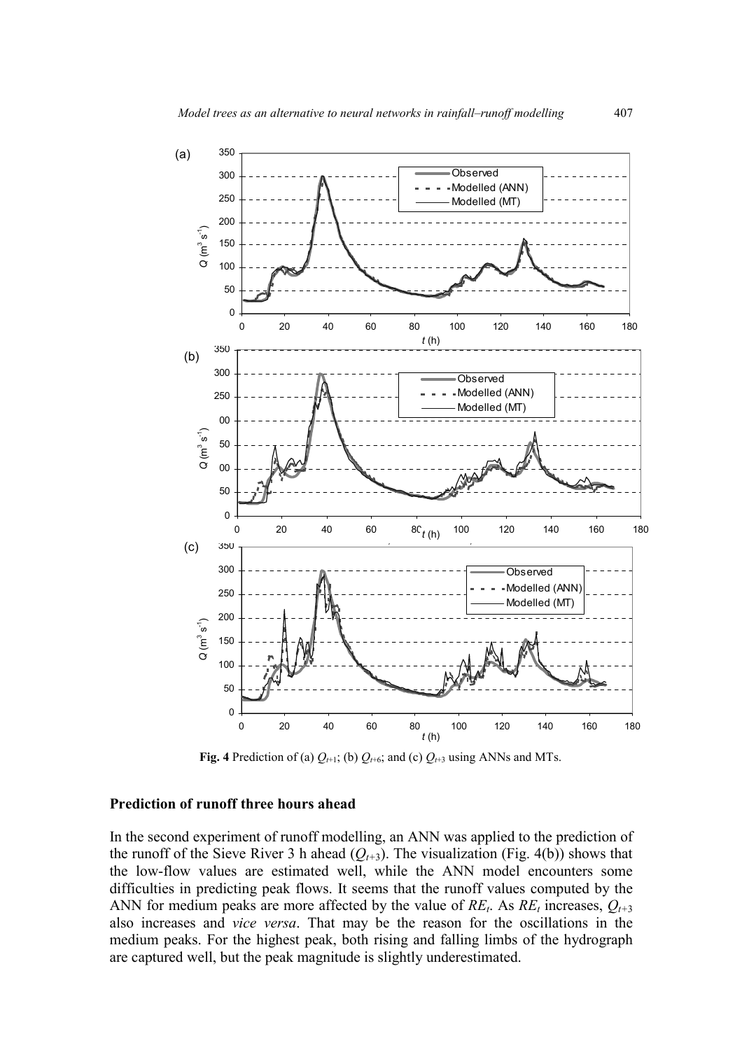

**Fig. 4** Prediction of (a)  $Q_{t+1}$ ; (b)  $Q_{t+6}$ ; and (c)  $Q_{t+3}$  using ANNs and MTs.

### **Prediction of runoff three hours ahead**

In the second experiment of runoff modelling, an ANN was applied to the prediction of the runoff of the Sieve River 3 h ahead  $(Q_{t+3})$ . The visualization (Fig. 4(b)) shows that the low-flow values are estimated well, while the ANN model encounters some difficulties in predicting peak flows. It seems that the runoff values computed by the ANN for medium peaks are more affected by the value of  $RE_t$ . As  $RE_t$  increases,  $Q_{t+3}$ also increases and *vice versa*. That may be the reason for the oscillations in the medium peaks. For the highest peak, both rising and falling limbs of the hydrograph are captured well, but the peak magnitude is slightly underestimated.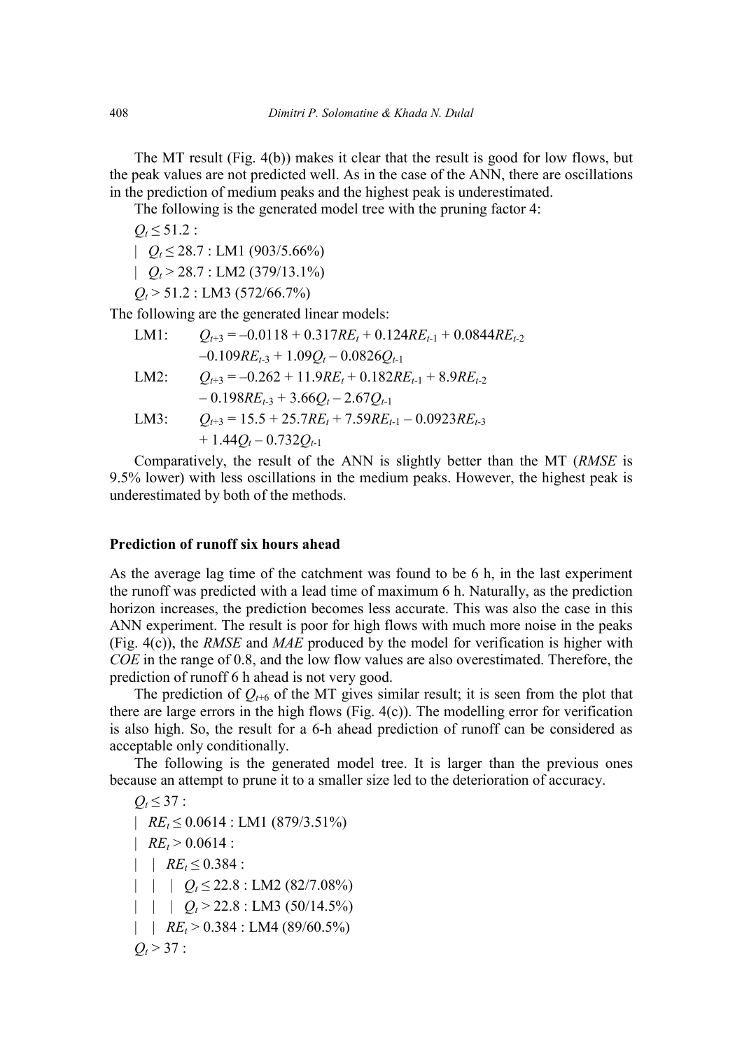The MT result (Fig. 4(b)) makes it clear that the result is good for low flows, but the peak values are not predicted well. As in the case of the ANN, there are oscillations in the prediction of medium peaks and the highest peak is underestimated.

The following is the generated model tree with the pruning factor 4:

 $Q_t$  < 51.2 :

 $|$   $Q_t \le 28.7$  : LM1 (903/5.66%)

 $|$   $Q_t$  > 28.7 : LM2 (379/13.1%)

*Qt* > 51.2 : LM3 (572/66.7%)

The following are the generated linear models:

| $LM1$ : | $Q_{t+3} = -0.0118 + 0.317RE_t + 0.124RE_{t-1} + 0.0844RE_{t-2}$ |
|---------|------------------------------------------------------------------|
|         | $-0.109RE_{t-3} + 1.09Q_t - 0.0826Q_{t-1}$                       |
| $LM2$ : | $Q_{t+3} = -0.262 + 11.9RE_t + 0.182RE_{t-1} + 8.9RE_{t-2}$      |
|         | $-0.198RE_{t-3} + 3.66Q_t - 2.67Q_{t-1}$                         |
| $LM3$ : | $Q_{t+3} = 15.5 + 25.7RE_t + 7.59RE_{t-1} - 0.0923RE_{t-3}$      |
|         | $+1.44Q_t - 0.732Q_{t-1}$                                        |

 Comparatively, the result of the ANN is slightly better than the MT (*RMSE* is 9.5% lower) with less oscillations in the medium peaks. However, the highest peak is underestimated by both of the methods.

### **Prediction of runoff six hours ahead**

As the average lag time of the catchment was found to be 6 h, in the last experiment the runoff was predicted with a lead time of maximum 6 h. Naturally, as the prediction horizon increases, the prediction becomes less accurate. This was also the case in this ANN experiment. The result is poor for high flows with much more noise in the peaks (Fig. 4(c)), the *RMSE* and *MAE* produced by the model for verification is higher with *COE* in the range of 0.8, and the low flow values are also overestimated. Therefore, the prediction of runoff 6 h ahead is not very good.

The prediction of  $Q_{t+6}$  of the MT gives similar result; it is seen from the plot that there are large errors in the high flows (Fig. 4(c)). The modelling error for verification is also high. So, the result for a 6-h ahead prediction of runoff can be considered as acceptable only conditionally.

 The following is the generated model tree. It is larger than the previous ones because an attempt to prune it to a smaller size led to the deterioration of accuracy.

 $Q_t$  < 37 :  $|$  *RE<sub>t</sub>*  $\leq$  0.0614 : LM1 (879/3.51%)  $|$  *RE<sub>t</sub>* > 0.0614 : |  $RE_t \leq 0.384$ : | |  $Q_t \leq 22.8$  : LM2 (82/7.08%)  $|$  |  $|$   $Q_t$  > 22.8 : LM3 (50/14.5%)  $|$  *RE<sub>t</sub>* > 0.384 : LM4 (89/60.5%)  $Q_t > 37$  :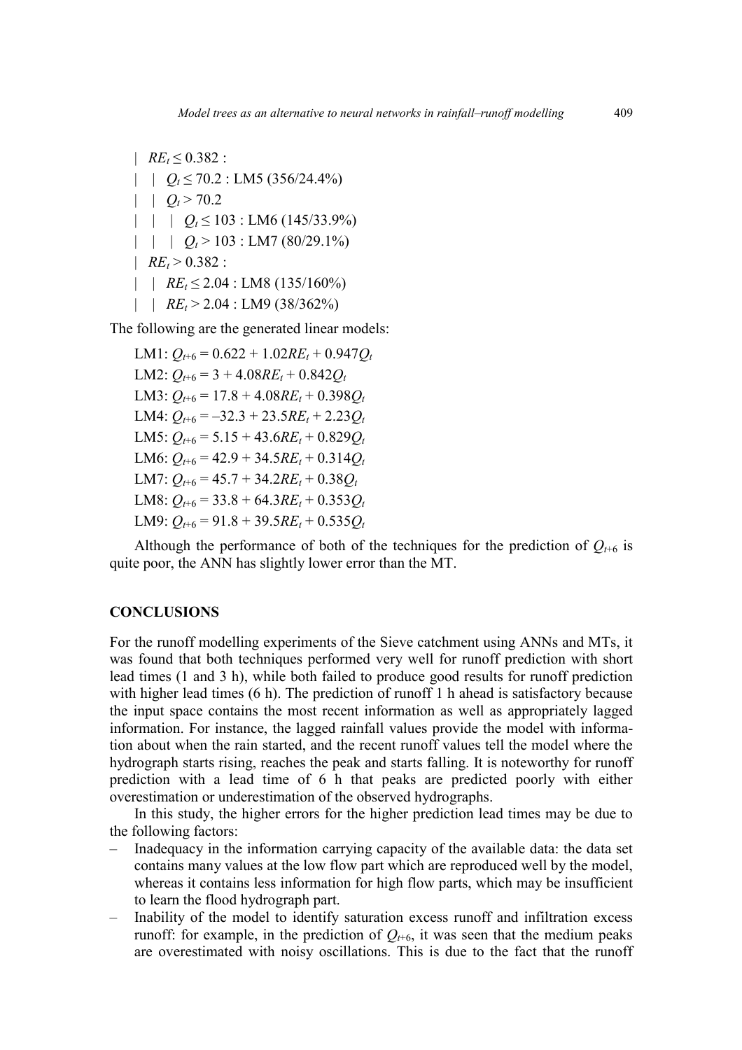$|$ *RE<sub>t</sub>* < 0.382 : |  $\vert$  *Q<sub>t</sub>*  $\leq$  70.2 : LM5 (356/24.4%)  $|$  |  $Q_t$  > 70.2 | |  $Q_t \le 103$  : LM6 (145/33.9%)  $|$  |  $|$   $Q_t$  > 103 : LM7 (80/29.1%) |  $RE_t > 0.382$ :  $|$  *RE<sub>t</sub>* < 2.04 : LM8 (135/160%) |  $RE_t > 2.04$  : LM9 (38/362%)

The following are the generated linear models:

LM1:  $Q_{t+6} = 0.622 + 1.02RE_t + 0.947Q_t$ LM2:  $Q_{t+6} = 3 + 4.08RE_t + 0.842Q_t$ LM3:  $Q_{t+6} = 17.8 + 4.08RE_t + 0.398Q_t$ LM4:  $Q_{t+6} = -32.3 + 23.5RE_t + 2.23Q_t$ LM5:  $Q_{t+6} = 5.15 + 43.6RE_t + 0.829Q_t$ LM6:  $Q_{t+6} = 42.9 + 34.5RE_t + 0.314Q_t$ LM7:  $Q_{t+6} = 45.7 + 34.2RE_t + 0.38Q_t$ LM8:  $Q_{t+6} = 33.8 + 64.3RE_t + 0.353O_t$ LM9:  $Q_{t+6} = 91.8 + 39.5RE_t + 0.535Q_t$ 

Although the performance of both of the techniques for the prediction of  $Q_{t+6}$  is quite poor, the ANN has slightly lower error than the MT.

### **CONCLUSIONS**

For the runoff modelling experiments of the Sieve catchment using ANNs and MTs, it was found that both techniques performed very well for runoff prediction with short lead times (1 and 3 h), while both failed to produce good results for runoff prediction with higher lead times (6 h). The prediction of runoff 1 h ahead is satisfactory because the input space contains the most recent information as well as appropriately lagged information. For instance, the lagged rainfall values provide the model with information about when the rain started, and the recent runoff values tell the model where the hydrograph starts rising, reaches the peak and starts falling. It is noteworthy for runoff prediction with a lead time of 6 h that peaks are predicted poorly with either overestimation or underestimation of the observed hydrographs.

 In this study, the higher errors for the higher prediction lead times may be due to the following factors:

- Inadequacy in the information carrying capacity of the available data: the data set contains many values at the low flow part which are reproduced well by the model, whereas it contains less information for high flow parts, which may be insufficient to learn the flood hydrograph part.
- Inability of the model to identify saturation excess runoff and infiltration excess runoff: for example, in the prediction of  $Q_{t+6}$ , it was seen that the medium peaks are overestimated with noisy oscillations. This is due to the fact that the runoff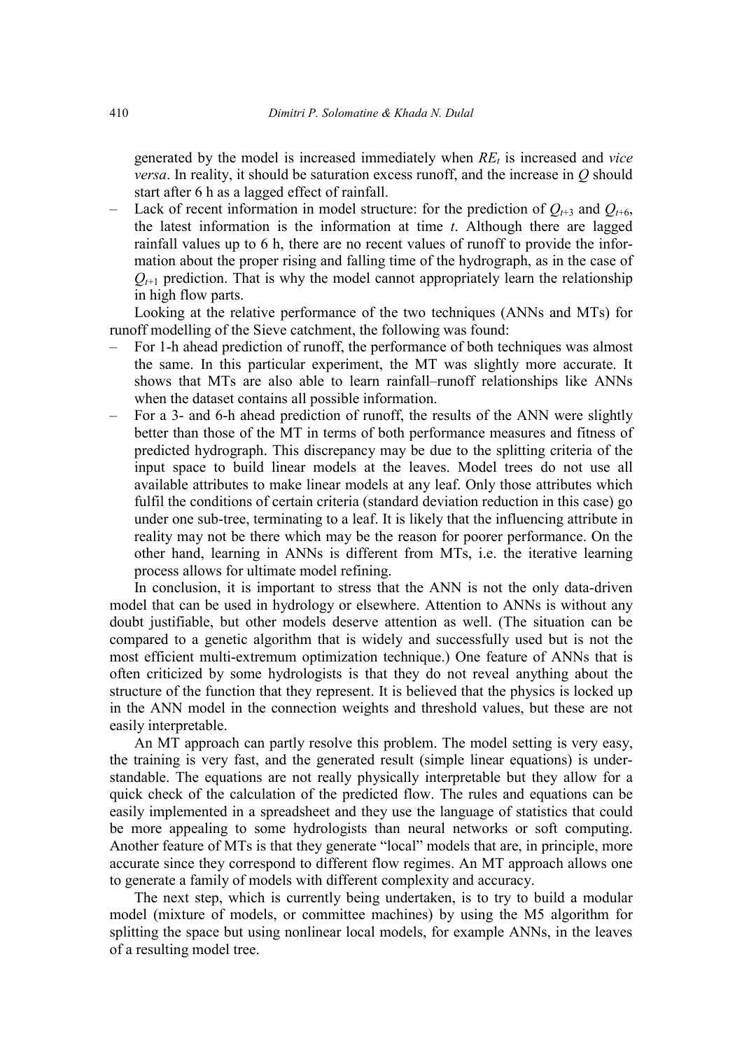generated by the model is increased immediately when *REt* is increased and *vice versa*. In reality, it should be saturation excess runoff, and the increase in *Q* should start after 6 h as a lagged effect of rainfall.

Lack of recent information in model structure: for the prediction of  $Q_{t+3}$  and  $Q_{t+6}$ , the latest information is the information at time *t*. Although there are lagged rainfall values up to 6 h, there are no recent values of runoff to provide the information about the proper rising and falling time of the hydrograph, as in the case of  $Q_{t+1}$  prediction. That is why the model cannot appropriately learn the relationship in high flow parts.

 Looking at the relative performance of the two techniques (ANNs and MTs) for runoff modelling of the Sieve catchment, the following was found:

- For 1-h ahead prediction of runoff, the performance of both techniques was almost the same. In this particular experiment, the MT was slightly more accurate. It shows that MTs are also able to learn rainfall–runoff relationships like ANNs when the dataset contains all possible information.
- For a 3- and 6-h ahead prediction of runoff, the results of the ANN were slightly better than those of the MT in terms of both performance measures and fitness of predicted hydrograph. This discrepancy may be due to the splitting criteria of the input space to build linear models at the leaves. Model trees do not use all available attributes to make linear models at any leaf. Only those attributes which fulfil the conditions of certain criteria (standard deviation reduction in this case) go under one sub-tree, terminating to a leaf. It is likely that the influencing attribute in reality may not be there which may be the reason for poorer performance. On the other hand, learning in ANNs is different from MTs, i.e. the iterative learning process allows for ultimate model refining.

 In conclusion, it is important to stress that the ANN is not the only data-driven model that can be used in hydrology or elsewhere. Attention to ANNs is without any doubt justifiable, but other models deserve attention as well. (The situation can be compared to a genetic algorithm that is widely and successfully used but is not the most efficient multi-extremum optimization technique.) One feature of ANNs that is often criticized by some hydrologists is that they do not reveal anything about the structure of the function that they represent. It is believed that the physics is locked up in the ANN model in the connection weights and threshold values, but these are not easily interpretable.

 An MT approach can partly resolve this problem. The model setting is very easy, the training is very fast, and the generated result (simple linear equations) is understandable. The equations are not really physically interpretable but they allow for a quick check of the calculation of the predicted flow. The rules and equations can be easily implemented in a spreadsheet and they use the language of statistics that could be more appealing to some hydrologists than neural networks or soft computing. Another feature of MTs is that they generate "local" models that are, in principle, more accurate since they correspond to different flow regimes. An MT approach allows one to generate a family of models with different complexity and accuracy.

 The next step, which is currently being undertaken, is to try to build a modular model (mixture of models, or committee machines) by using the M5 algorithm for splitting the space but using nonlinear local models, for example ANNs, in the leaves of a resulting model tree.